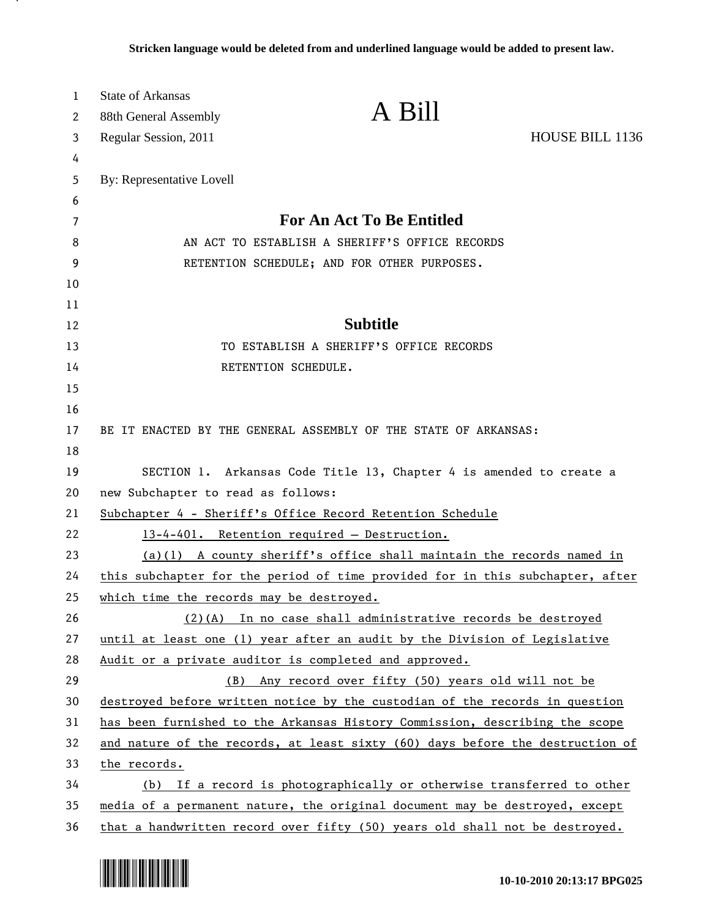| $\mathbf{1}$ | <b>State of Arkansas</b>                 |                                                                               |                 |
|--------------|------------------------------------------|-------------------------------------------------------------------------------|-----------------|
| 2            | 88th General Assembly                    | A Bill                                                                        |                 |
| 3            | Regular Session, 2011                    |                                                                               | HOUSE BILL 1136 |
| 4            |                                          |                                                                               |                 |
| 5            | By: Representative Lovell                |                                                                               |                 |
| 6            |                                          |                                                                               |                 |
| 7            |                                          | <b>For An Act To Be Entitled</b>                                              |                 |
| 8            |                                          | AN ACT TO ESTABLISH A SHERIFF'S OFFICE RECORDS                                |                 |
| 9            |                                          | RETENTION SCHEDULE; AND FOR OTHER PURPOSES.                                   |                 |
| 10           |                                          |                                                                               |                 |
| 11           |                                          | <b>Subtitle</b>                                                               |                 |
| 12<br>13     |                                          | TO ESTABLISH A SHERIFF'S OFFICE RECORDS                                       |                 |
| 14           |                                          | RETENTION SCHEDULE.                                                           |                 |
| 15           |                                          |                                                                               |                 |
| 16           |                                          |                                                                               |                 |
| 17           |                                          | BE IT ENACTED BY THE GENERAL ASSEMBLY OF THE STATE OF ARKANSAS:               |                 |
| 18           |                                          |                                                                               |                 |
| 19           |                                          | SECTION 1. Arkansas Code Title 13, Chapter 4 is amended to create a           |                 |
| 20           | new Subchapter to read as follows:       |                                                                               |                 |
| 21           |                                          | Subchapter 4 - Sheriff's Office Record Retention Schedule                     |                 |
| 22           |                                          | 13-4-401. Retention required - Destruction.                                   |                 |
| 23           |                                          | $(a)(1)$ A county sheriff's office shall maintain the records named in        |                 |
| 24           |                                          | this subchapter for the period of time provided for in this subchapter, after |                 |
| 25           | which time the records may be destroyed. |                                                                               |                 |
| 26           |                                          | $(2)$ (A) In no case shall administrative records be destroyed                |                 |
| 27           |                                          | until at least one (1) year after an audit by the Division of Legislative     |                 |
| 28           |                                          | Audit or a private auditor is completed and approved.                         |                 |
| 29           | (B)                                      | Any record over fifty (50) years old will not be                              |                 |
| 30           |                                          | destroyed before written notice by the custodian of the records in question   |                 |
| 31           |                                          | has been furnished to the Arkansas History Commission, describing the scope   |                 |
| 32           |                                          | and nature of the records, at least sixty (60) days before the destruction of |                 |
| 33           | the records.                             |                                                                               |                 |
| 34           |                                          | (b) If a record is photographically or otherwise transferred to other         |                 |
| 35           |                                          | media of a permanent nature, the original document may be destroyed, except   |                 |
| 36           |                                          | that a handwritten record over fifty (50) years old shall not be destroyed.   |                 |

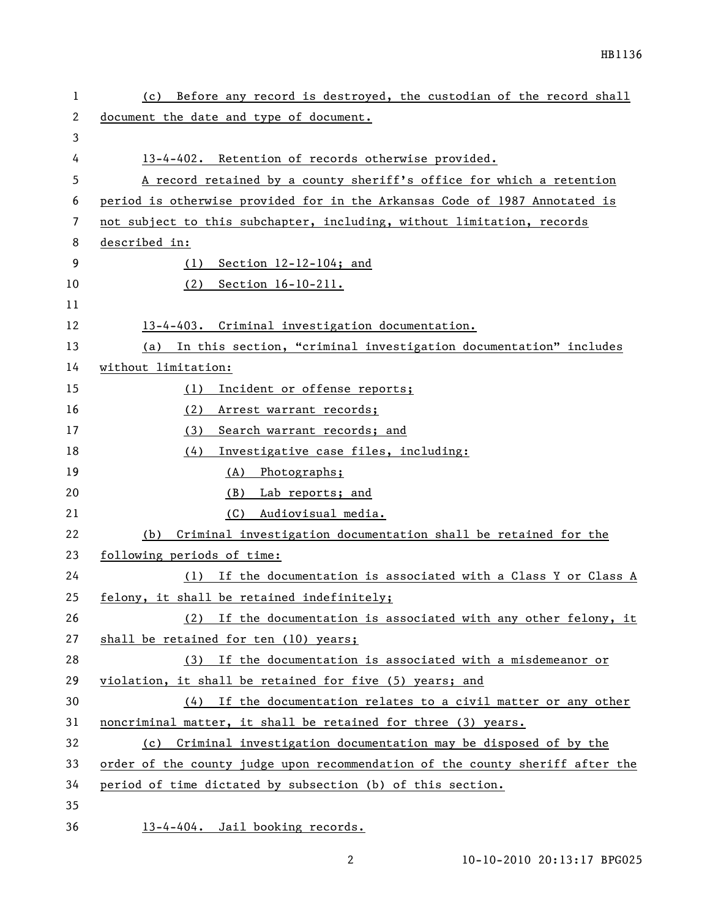| 1  | (c) Before any record is destroyed, the custodian of the record shall         |
|----|-------------------------------------------------------------------------------|
| 2  | document the date and type of document.                                       |
| 3  |                                                                               |
| 4  | 13-4-402. Retention of records otherwise provided.                            |
| 5  | A record retained by a county sheriff's office for which a retention          |
| 6  | period is otherwise provided for in the Arkansas Code of 1987 Annotated is    |
| 7  | not subject to this subchapter, including, without limitation, records        |
| 8  | described in:                                                                 |
| 9  | $(1)$ Section 12-12-104; and                                                  |
| 10 | $(2)$ Section $16-10-211$ .                                                   |
| 11 |                                                                               |
| 12 | 13-4-403. Criminal investigation documentation.                               |
| 13 | In this section, "criminal investigation documentation" includes<br>(a)       |
| 14 | without limitation:                                                           |
| 15 | Incident or offense reports;<br>(1)                                           |
| 16 | (2)<br>Arrest warrant records;                                                |
| 17 | (3) Search warrant records; and                                               |
| 18 | Investigative case files, including:<br>(4)                                   |
| 19 | (A) Photographs;                                                              |
| 20 | (B) Lab reports; and                                                          |
| 21 | Audiovisual media.<br>(C)                                                     |
| 22 | Criminal investigation documentation shall be retained for the<br>(b)         |
| 23 | following periods of time:                                                    |
| 24 | (1) If the documentation is associated with a Class Y or Class A              |
| 25 | felony, it shall be retained indefinitely;                                    |
| 26 | (2) If the documentation is associated with any other felony, it              |
| 27 | shall be retained for ten (10) years;                                         |
| 28 | (3) If the documentation is associated with a misdemeanor or                  |
| 29 | violation, it shall be retained for five (5) years; and                       |
| 30 | $(4)$ If the documentation relates to a civil matter or any other             |
| 31 | noncriminal matter, it shall be retained for three (3) years.                 |
| 32 | (c) Criminal investigation documentation may be disposed of by the            |
| 33 | order of the county judge upon recommendation of the county sheriff after the |
| 34 | period of time dictated by subsection (b) of this section.                    |
| 35 |                                                                               |
| 36 | 13-4-404. Jail booking records.                                               |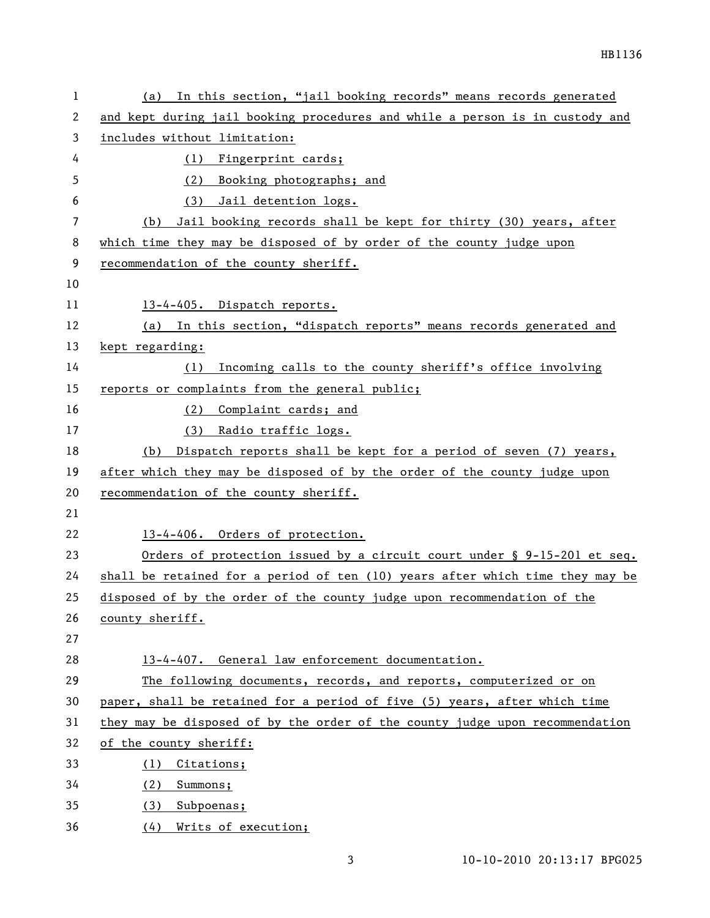| 1  | (a) In this section, "jail booking records" means records generated             |
|----|---------------------------------------------------------------------------------|
| 2  | and kept during jail booking procedures and while a person is in custody and    |
| 3  | includes without limitation:                                                    |
| 4  | (1)<br>Fingerprint cards;                                                       |
| 5  | Booking photographs; and<br>(2)                                                 |
| 6  | Jail detention logs.<br>(3)                                                     |
| 7  | Jail booking records shall be kept for thirty (30) years, after<br>(b)          |
| 8  | which time they may be disposed of by order of the county judge upon            |
| 9  | recommendation of the county sheriff.                                           |
| 10 |                                                                                 |
| 11 | 13-4-405. Dispatch reports.                                                     |
| 12 | In this section, "dispatch reports" means records generated and<br>(a)          |
| 13 | kept regarding:                                                                 |
| 14 | Incoming calls to the county sheriff's office involving<br>(1)                  |
| 15 | reports or complaints from the general public;                                  |
| 16 | (2) Complaint cards; and                                                        |
| 17 | Radio traffic logs.<br>(3)                                                      |
| 18 | Dispatch reports shall be kept for a period of seven (7) years,<br>(b)          |
| 19 | after which they may be disposed of by the order of the county judge upon       |
| 20 | recommendation of the county sheriff.                                           |
| 21 |                                                                                 |
| 22 | 13-4-406. Orders of protection.                                                 |
| 23 | Orders of protection issued by a circuit court under $\S$ 9-15-201 et seq.      |
| 24 | shall be retained for a period of ten $(10)$ years after which time they may be |
| 25 | disposed of by the order of the county judge upon recommendation of the         |
| 26 | county sheriff.                                                                 |
| 27 |                                                                                 |
| 28 | 13-4-407. General law enforcement documentation.                                |
| 29 | The following documents, records, and reports, computerized or on               |
| 30 | paper, shall be retained for a period of five (5) years, after which time       |
| 31 | they may be disposed of by the order of the county judge upon recommendation    |
| 32 | of the county sheriff:                                                          |
| 33 | Citations;<br>(1)                                                               |
| 34 | (2)<br>Summons;                                                                 |
| 35 | Subpoenas;<br>(3)                                                               |
| 36 | (4)<br>Writs of execution;                                                      |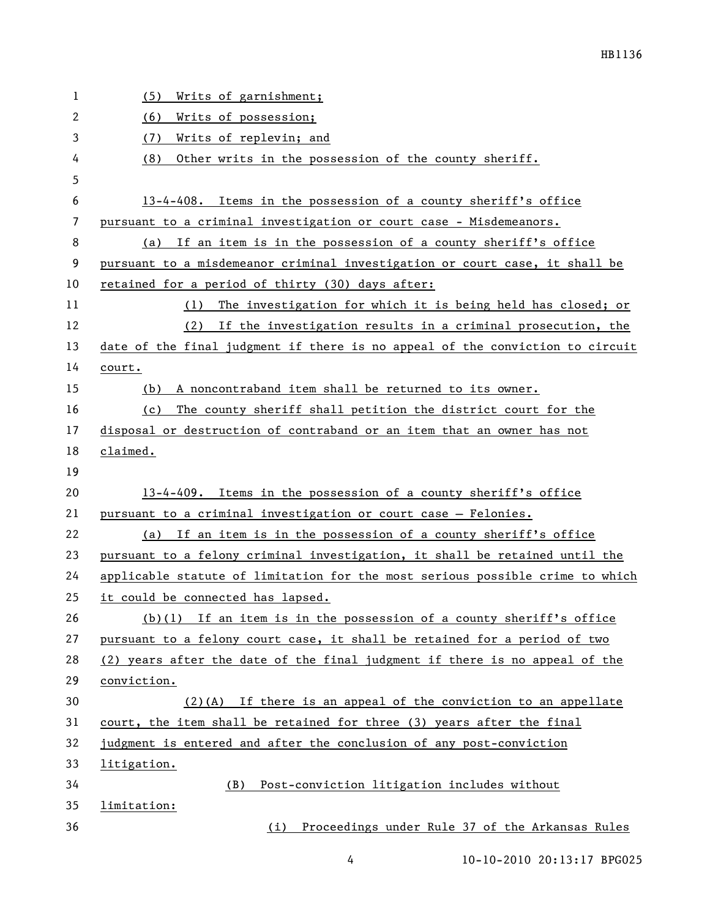| 1  | Writs of garnishment;<br>(5)                                                  |
|----|-------------------------------------------------------------------------------|
| 2  | Writs of possession;<br>(6)                                                   |
| 3  | (7)<br>Writs of replevin; and                                                 |
| 4  | Other writs in the possession of the county sheriff.<br>(8)                   |
| 5  |                                                                               |
| 6  | 13-4-408. Items in the possession of a county sheriff's office                |
| 7  | pursuant to a criminal investigation or court case - Misdemeanors.            |
| 8  | (a) If an item is in the possession of a county sheriff's office              |
| 9  | pursuant to a misdemeanor criminal investigation or court case, it shall be   |
| 10 | retained for a period of thirty (30) days after:                              |
| 11 | (1) The investigation for which it is being held has closed; or               |
| 12 | (2) If the investigation results in a criminal prosecution, the               |
| 13 | date of the final judgment if there is no appeal of the conviction to circuit |
| 14 | court.                                                                        |
| 15 | A noncontraband item shall be returned to its owner.<br>(b)                   |
| 16 | The county sheriff shall petition the district court for the<br>(c)           |
| 17 | disposal or destruction of contraband or an item that an owner has not        |
| 18 | claimed.                                                                      |
| 19 |                                                                               |
| 20 | 13-4-409. Items in the possession of a county sheriff's office                |
| 21 | pursuant to a criminal investigation or court case - Felonies.                |
| 22 | (a) If an item is in the possession of a county sheriff's office              |
| 23 | pursuant to a felony criminal investigation, it shall be retained until the   |
| 24 | applicable statute of limitation for the most serious possible crime to which |
| 25 | it could be connected has lapsed.                                             |
| 26 | $(b)(1)$ If an item is in the possession of a county sheriff's office         |
| 27 | pursuant to a felony court case, it shall be retained for a period of two     |
| 28 | (2) years after the date of the final judgment if there is no appeal of the   |
| 29 | conviction.                                                                   |
| 30 | $(2)$ (A) If there is an appeal of the conviction to an appellate             |
| 31 | court, the item shall be retained for three (3) years after the final         |
| 32 | judgment is entered and after the conclusion of any post-conviction           |
| 33 | litigation.                                                                   |
| 34 | Post-conviction litigation includes without<br>(B)                            |
| 35 | limitation:                                                                   |
| 36 | Proceedings under Rule 37 of the Arkansas Rules<br>(i)                        |

4 10-10-2010 20:13:17 BPG025

HB1136